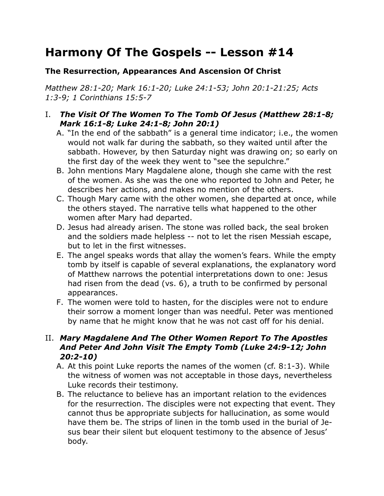# **Harmony Of The Gospels -- Lesson #14**

### **The Resurrection, Appearances And Ascension Of Christ**

*Matthew 28:1-20; Mark 16:1-20; Luke 24:1-53; John 20:1-21:25; Acts 1:3-9; 1 Corinthians 15:5-7*

#### I. *The Visit Of The Women To The Tomb Of Jesus (Matthew 28:1-8; Mark 16:1-8; Luke 24:1-8; John 20:1)*

- A. "In the end of the sabbath" is a general time indicator; i.e., the women would not walk far during the sabbath, so they waited until after the sabbath. However, by then Saturday night was drawing on; so early on the first day of the week they went to "see the sepulchre."
- B. John mentions Mary Magdalene alone, though she came with the rest of the women. As she was the one who reported to John and Peter, he describes her actions, and makes no mention of the others.
- C. Though Mary came with the other women, she departed at once, while the others stayed. The narrative tells what happened to the other women after Mary had departed.
- D. Jesus had already arisen. The stone was rolled back, the seal broken and the soldiers made helpless -- not to let the risen Messiah escape, but to let in the first witnesses.
- E. The angel speaks words that allay the women's fears. While the empty tomb by itself is capable of several explanations, the explanatory word of Matthew narrows the potential interpretations down to one: Jesus had risen from the dead (vs. 6), a truth to be confirmed by personal appearances.
- F. The women were told to hasten, for the disciples were not to endure their sorrow a moment longer than was needful. Peter was mentioned by name that he might know that he was not cast off for his denial.

## II. *Mary Magdalene And The Other Women Report To The Apostles And Peter And John Visit The Empty Tomb (Luke 24:9-12; John 20:2-10)*

- A. At this point Luke reports the names of the women (cf. 8:1-3). While the witness of women was not acceptable in those days, nevertheless Luke records their testimony.
- B. The reluctance to believe has an important relation to the evidences for the resurrection. The disciples were not expecting that event. They cannot thus be appropriate subjects for hallucination, as some would have them be. The strips of linen in the tomb used in the burial of Jesus bear their silent but eloquent testimony to the absence of Jesus' body.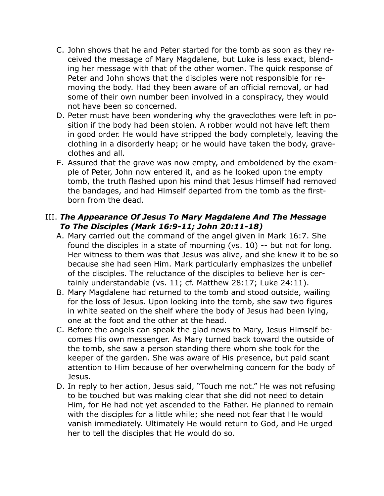- C. John shows that he and Peter started for the tomb as soon as they received the message of Mary Magdalene, but Luke is less exact, blending her message with that of the other women. The quick response of Peter and John shows that the disciples were not responsible for removing the body. Had they been aware of an official removal, or had some of their own number been involved in a conspiracy, they would not have been so concerned.
- D. Peter must have been wondering why the graveclothes were left in position if the body had been stolen. A robber would not have left them in good order. He would have stripped the body completely, leaving the clothing in a disorderly heap; or he would have taken the body, graveclothes and all.
- E. Assured that the grave was now empty, and emboldened by the example of Peter, John now entered it, and as he looked upon the empty tomb, the truth flashed upon his mind that Jesus Himself had removed the bandages, and had Himself departed from the tomb as the firstborn from the dead.

#### III. *The Appearance Of Jesus To Mary Magdalene And The Message To The Disciples (Mark 16:9-11; John 20:11-18)*

- A. Mary carried out the command of the angel given in Mark 16:7. She found the disciples in a state of mourning (vs. 10) -- but not for long. Her witness to them was that Jesus was alive, and she knew it to be so because she had seen Him. Mark particularly emphasizes the unbelief of the disciples. The reluctance of the disciples to believe her is certainly understandable (vs. 11; cf. Matthew 28:17; Luke 24:11).
- B. Mary Magdalene had returned to the tomb and stood outside, wailing for the loss of Jesus. Upon looking into the tomb, she saw two figures in white seated on the shelf where the body of Jesus had been lying, one at the foot and the other at the head.
- C. Before the angels can speak the glad news to Mary, Jesus Himself becomes His own messenger. As Mary turned back toward the outside of the tomb, she saw a person standing there whom she took for the keeper of the garden. She was aware of His presence, but paid scant attention to Him because of her overwhelming concern for the body of Jesus.
- D. In reply to her action, Jesus said, "Touch me not." He was not refusing to be touched but was making clear that she did not need to detain Him, for He had not yet ascended to the Father. He planned to remain with the disciples for a little while; she need not fear that He would vanish immediately. Ultimately He would return to God, and He urged her to tell the disciples that He would do so.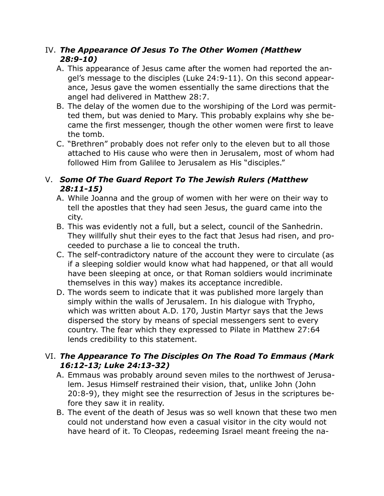#### IV. *The Appearance Of Jesus To The Other Women (Matthew 28:9-10)*

- A. This appearance of Jesus came after the women had reported the angel's message to the disciples (Luke 24:9-11). On this second appearance, Jesus gave the women essentially the same directions that the angel had delivered in Matthew 28:7.
- B. The delay of the women due to the worshiping of the Lord was permitted them, but was denied to Mary. This probably explains why she became the first messenger, though the other women were first to leave the tomb.
- C. "Brethren" probably does not refer only to the eleven but to all those attached to His cause who were then in Jerusalem, most of whom had followed Him from Galilee to Jerusalem as His "disciples."

# V. *Some Of The Guard Report To The Jewish Rulers (Matthew 28:11-15)*

- A. While Joanna and the group of women with her were on their way to tell the apostles that they had seen Jesus, the guard came into the city.
- B. This was evidently not a full, but a select, council of the Sanhedrin. They willfully shut their eyes to the fact that Jesus had risen, and proceeded to purchase a lie to conceal the truth.
- C. The self-contradictory nature of the account they were to circulate (as if a sleeping soldier would know what had happened, or that all would have been sleeping at once, or that Roman soldiers would incriminate themselves in this way) makes its acceptance incredible.
- D. The words seem to indicate that it was published more largely than simply within the walls of Jerusalem. In his dialogue with Trypho, which was written about A.D. 170, Justin Martyr says that the Jews dispersed the story by means of special messengers sent to every country. The fear which they expressed to Pilate in Matthew 27:64 lends credibility to this statement.

## VI. *The Appearance To The Disciples On The Road To Emmaus (Mark 16:12-13; Luke 24:13-32)*

- A. Emmaus was probably around seven miles to the northwest of Jerusalem. Jesus Himself restrained their vision, that, unlike John (John 20:8-9), they might see the resurrection of Jesus in the scriptures before they saw it in reality.
- B. The event of the death of Jesus was so well known that these two men could not understand how even a casual visitor in the city would not have heard of it. To Cleopas, redeeming Israel meant freeing the na-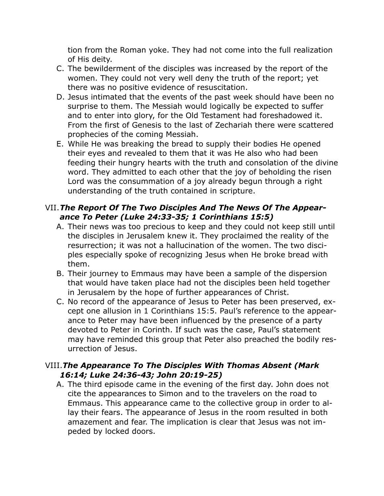tion from the Roman yoke. They had not come into the full realization of His deity.

- C. The bewilderment of the disciples was increased by the report of the women. They could not very well deny the truth of the report; yet there was no positive evidence of resuscitation.
- D. Jesus intimated that the events of the past week should have been no surprise to them. The Messiah would logically be expected to suffer and to enter into glory, for the Old Testament had foreshadowed it. From the first of Genesis to the last of Zechariah there were scattered prophecies of the coming Messiah.
- E. While He was breaking the bread to supply their bodies He opened their eyes and revealed to them that it was He also who had been feeding their hungry hearts with the truth and consolation of the divine word. They admitted to each other that the joy of beholding the risen Lord was the consummation of a joy already begun through a right understanding of the truth contained in scripture.

## VII.*The Report Of The Two Disciples And The News Of The Appearance To Peter (Luke 24:33-35; 1 Corinthians 15:5)*

- A. Their news was too precious to keep and they could not keep still until the disciples in Jerusalem knew it. They proclaimed the reality of the resurrection; it was not a hallucination of the women. The two disciples especially spoke of recognizing Jesus when He broke bread with them.
- B. Their journey to Emmaus may have been a sample of the dispersion that would have taken place had not the disciples been held together in Jerusalem by the hope of further appearances of Christ.
- C. No record of the appearance of Jesus to Peter has been preserved, except one allusion in 1 Corinthians 15:5. Paul's reference to the appearance to Peter may have been influenced by the presence of a party devoted to Peter in Corinth. If such was the case, Paul's statement may have reminded this group that Peter also preached the bodily resurrection of Jesus.

#### VIII.*The Appearance To The Disciples With Thomas Absent (Mark 16:14; Luke 24:36-43; John 20:19-25)*

A. The third episode came in the evening of the first day. John does not cite the appearances to Simon and to the travelers on the road to Emmaus. This appearance came to the collective group in order to allay their fears. The appearance of Jesus in the room resulted in both amazement and fear. The implication is clear that Jesus was not impeded by locked doors.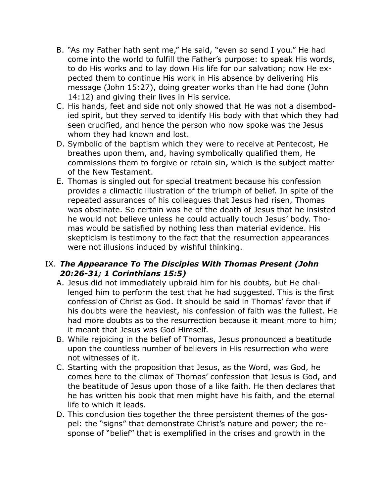- B. "As my Father hath sent me," He said, "even so send I you." He had come into the world to fulfill the Father's purpose: to speak His words, to do His works and to lay down His life for our salvation; now He expected them to continue His work in His absence by delivering His message (John 15:27), doing greater works than He had done (John 14:12) and giving their lives in His service.
- C. His hands, feet and side not only showed that He was not a disembodied spirit, but they served to identify His body with that which they had seen crucified, and hence the person who now spoke was the Jesus whom they had known and lost.
- D. Symbolic of the baptism which they were to receive at Pentecost, He breathes upon them, and, having symbolically qualified them, He commissions them to forgive or retain sin, which is the subject matter of the New Testament.
- E. Thomas is singled out for special treatment because his confession provides a climactic illustration of the triumph of belief. In spite of the repeated assurances of his colleagues that Jesus had risen, Thomas was obstinate. So certain was he of the death of Jesus that he insisted he would not believe unless he could actually touch Jesus' body. Thomas would be satisfied by nothing less than material evidence. His skepticism is testimony to the fact that the resurrection appearances were not illusions induced by wishful thinking.

#### IX. *The Appearance To The Disciples With Thomas Present (John 20:26-31; 1 Corinthians 15:5)*

- A. Jesus did not immediately upbraid him for his doubts, but He challenged him to perform the test that he had suggested. This is the first confession of Christ as God. It should be said in Thomas' favor that if his doubts were the heaviest, his confession of faith was the fullest. He had more doubts as to the resurrection because it meant more to him; it meant that Jesus was God Himself.
- B. While rejoicing in the belief of Thomas, Jesus pronounced a beatitude upon the countless number of believers in His resurrection who were not witnesses of it.
- C. Starting with the proposition that Jesus, as the Word, was God, he comes here to the climax of Thomas' confession that Jesus is God, and the beatitude of Jesus upon those of a like faith. He then declares that he has written his book that men might have his faith, and the eternal life to which it leads.
- D. This conclusion ties together the three persistent themes of the gospel: the "signs" that demonstrate Christ's nature and power; the response of "belief" that is exemplified in the crises and growth in the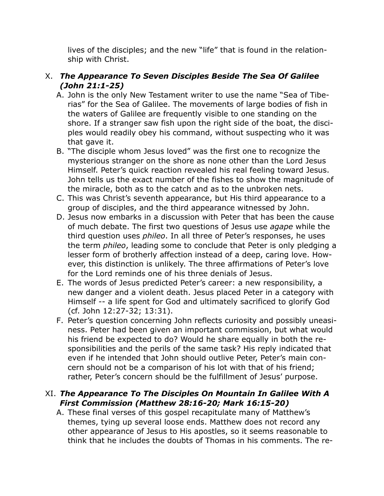lives of the disciples; and the new "life" that is found in the relationship with Christ.

# X. *The Appearance To Seven Disciples Beside The Sea Of Galilee (John 21:1-25)*

- A. John is the only New Testament writer to use the name "Sea of Tiberias" for the Sea of Galilee. The movements of large bodies of fish in the waters of Galilee are frequently visible to one standing on the shore. If a stranger saw fish upon the right side of the boat, the disciples would readily obey his command, without suspecting who it was that gave it.
- B. "The disciple whom Jesus loved" was the first one to recognize the mysterious stranger on the shore as none other than the Lord Jesus Himself. Peter's quick reaction revealed his real feeling toward Jesus. John tells us the exact number of the fishes to show the magnitude of the miracle, both as to the catch and as to the unbroken nets.
- C. This was Christ's seventh appearance, but His third appearance to a group of disciples, and the third appearance witnessed by John.
- D. Jesus now embarks in a discussion with Peter that has been the cause of much debate. The first two questions of Jesus use *agape* while the third question uses *phileo*. In all three of Peter's responses, he uses the term *phileo*, leading some to conclude that Peter is only pledging a lesser form of brotherly affection instead of a deep, caring love. However, this distinction is unlikely. The three affirmations of Peter's love for the Lord reminds one of his three denials of Jesus.
- E. The words of Jesus predicted Peter's career: a new responsibility, a new danger and a violent death. Jesus placed Peter in a category with Himself -- a life spent for God and ultimately sacrificed to glorify God (cf. John 12:27-32; 13:31).
- F. Peter's question concerning John reflects curiosity and possibly uneasiness. Peter had been given an important commission, but what would his friend be expected to do? Would he share equally in both the responsibilities and the perils of the same task? His reply indicated that even if he intended that John should outlive Peter, Peter's main concern should not be a comparison of his lot with that of his friend; rather, Peter's concern should be the fulfillment of Jesus' purpose.

## XI. *The Appearance To The Disciples On Mountain In Galilee With A First Commission (Matthew 28:16-20; Mark 16:15-20)*

A. These final verses of this gospel recapitulate many of Matthew's themes, tying up several loose ends. Matthew does not record any other appearance of Jesus to His apostles, so it seems reasonable to think that he includes the doubts of Thomas in his comments. The re-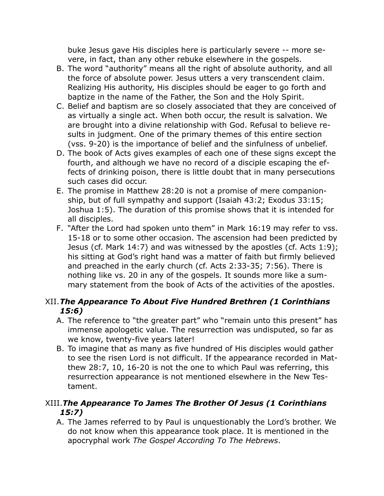buke Jesus gave His disciples here is particularly severe -- more severe, in fact, than any other rebuke elsewhere in the gospels.

- B. The word "authority" means all the right of absolute authority, and all the force of absolute power. Jesus utters a very transcendent claim. Realizing His authority, His disciples should be eager to go forth and baptize in the name of the Father, the Son and the Holy Spirit.
- C. Belief and baptism are so closely associated that they are conceived of as virtually a single act. When both occur, the result is salvation. We are brought into a divine relationship with God. Refusal to believe results in judgment. One of the primary themes of this entire section (vss. 9-20) is the importance of belief and the sinfulness of unbelief.
- D. The book of Acts gives examples of each one of these signs except the fourth, and although we have no record of a disciple escaping the effects of drinking poison, there is little doubt that in many persecutions such cases did occur.
- E. The promise in Matthew 28:20 is not a promise of mere companionship, but of full sympathy and support (Isaiah 43:2; Exodus 33:15; Joshua 1:5). The duration of this promise shows that it is intended for all disciples.
- F. "After the Lord had spoken unto them" in Mark 16:19 may refer to vss. 15-18 or to some other occasion. The ascension had been predicted by Jesus (cf. Mark 14:7) and was witnessed by the apostles (cf. Acts 1:9); his sitting at God's right hand was a matter of faith but firmly believed and preached in the early church (cf. Acts 2:33-35; 7:56). There is nothing like vs. 20 in any of the gospels. It sounds more like a summary statement from the book of Acts of the activities of the apostles.

# XII.*The Appearance To About Five Hundred Brethren (1 Corinthians 15:6)*

- A. The reference to "the greater part" who "remain unto this present" has immense apologetic value. The resurrection was undisputed, so far as we know, twenty-five years later!
- B. To imagine that as many as five hundred of His disciples would gather to see the risen Lord is not difficult. If the appearance recorded in Matthew 28:7, 10, 16-20 is not the one to which Paul was referring, this resurrection appearance is not mentioned elsewhere in the New Testament.

## XIII.*The Appearance To James The Brother Of Jesus (1 Corinthians 15:7)*

A. The James referred to by Paul is unquestionably the Lord's brother. We do not know when this appearance took place. It is mentioned in the apocryphal work *The Gospel According To The Hebrews*.